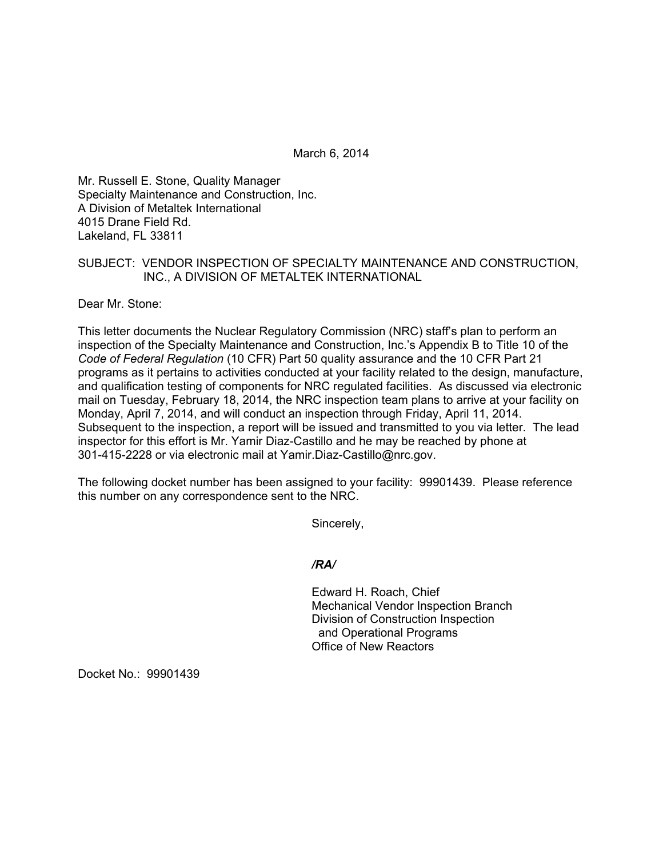March 6, 2014

Mr. Russell E. Stone, Quality Manager Specialty Maintenance and Construction, Inc. A Division of Metaltek International 4015 Drane Field Rd. Lakeland, FL 33811

## SUBJECT: VENDOR INSPECTION OF SPECIALTY MAINTENANCE AND CONSTRUCTION, INC., A DIVISION OF METALTEK INTERNATIONAL

Dear Mr. Stone:

This letter documents the Nuclear Regulatory Commission (NRC) staff's plan to perform an inspection of the Specialty Maintenance and Construction, Inc.'s Appendix B to Title 10 of the *Code of Federal Regulation* (10 CFR) Part 50 quality assurance and the 10 CFR Part 21 programs as it pertains to activities conducted at your facility related to the design, manufacture, and qualification testing of components for NRC regulated facilities. As discussed via electronic mail on Tuesday, February 18, 2014, the NRC inspection team plans to arrive at your facility on Monday, April 7, 2014, and will conduct an inspection through Friday, April 11, 2014. Subsequent to the inspection, a report will be issued and transmitted to you via letter. The lead inspector for this effort is Mr. Yamir Diaz-Castillo and he may be reached by phone at 301-415-2228 or via electronic mail at Yamir.Diaz-Castillo@nrc.gov.

The following docket number has been assigned to your facility: 99901439. Please reference this number on any correspondence sent to the NRC.

Sincerely,

#### */RA/*

Edward H. Roach, Chief Mechanical Vendor Inspection Branch Division of Construction Inspection and Operational Programs Office of New Reactors

Docket No.: 99901439